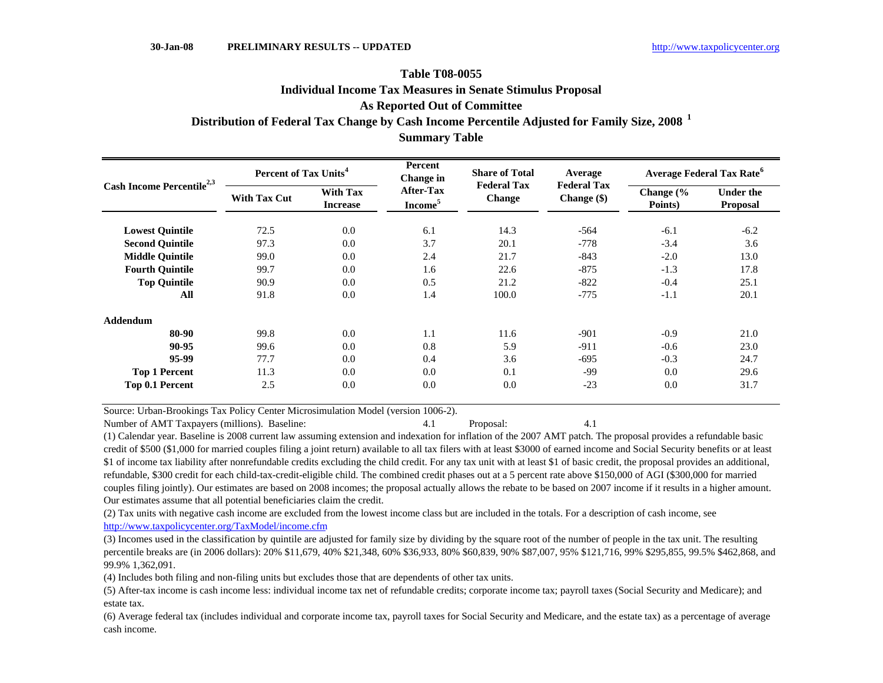## **As Reported Out of Committee Summary Table Table T08-0055Distribution of Federal Tax Change by Cash Income Percentile Adjusted for Family Size, 2008 <sup>1</sup> Individual Income Tax Measures in Senate Stimulus Proposal**

| Cash Income Percentile <sup>2,3</sup> | Percent of Tax Units <sup>4</sup> |                                    | Percent<br>Change in                    | <b>Share of Total</b>               | Average                             | <b>Average Federal Tax Rate<sup>6</sup></b> |                                     |  |
|---------------------------------------|-----------------------------------|------------------------------------|-----------------------------------------|-------------------------------------|-------------------------------------|---------------------------------------------|-------------------------------------|--|
|                                       | <b>With Tax Cut</b>               | <b>With Tax</b><br><b>Increase</b> | <b>After-Tax</b><br>Income <sup>5</sup> | <b>Federal Tax</b><br><b>Change</b> | <b>Federal Tax</b><br>Change $(\$)$ | Change (%<br>Points)                        | <b>Under the</b><br><b>Proposal</b> |  |
| <b>Lowest Quintile</b>                | 72.5                              | 0.0                                | 6.1                                     | 14.3                                | $-564$                              | $-6.1$                                      | $-6.2$                              |  |
| <b>Second Ouintile</b>                | 97.3                              | 0.0                                | 3.7                                     | 20.1                                | $-778$                              | $-3.4$                                      | 3.6                                 |  |
| <b>Middle Ouintile</b>                | 99.0                              | 0.0                                | 2.4                                     | 21.7                                | $-843$                              | $-2.0$                                      | 13.0                                |  |
| <b>Fourth Quintile</b>                | 99.7                              | 0.0                                | 1.6                                     | 22.6                                | $-875$                              | $-1.3$                                      | 17.8                                |  |
| <b>Top Quintile</b>                   | 90.9                              | 0.0                                | 0.5                                     | 21.2                                | $-822$                              | $-0.4$                                      | 25.1                                |  |
| All                                   | 91.8                              | 0.0                                | 1.4                                     | 100.0                               | $-775$                              | $-1.1$                                      | 20.1                                |  |
| <b>Addendum</b>                       |                                   |                                    |                                         |                                     |                                     |                                             |                                     |  |
| 80-90                                 | 99.8                              | 0.0                                | 1.1                                     | 11.6                                | $-901$                              | $-0.9$                                      | 21.0                                |  |
| 90-95                                 | 99.6                              | 0.0                                | 0.8                                     | 5.9                                 | $-911$                              | $-0.6$                                      | 23.0                                |  |
| 95-99                                 | 77.7                              | 0.0                                | 0.4                                     | 3.6                                 | $-695$                              | $-0.3$                                      | 24.7                                |  |
| <b>Top 1 Percent</b>                  | 11.3                              | 0.0                                | 0.0                                     | 0.1                                 | $-99$                               | 0.0                                         | 29.6                                |  |
| Top 0.1 Percent                       | 2.5                               | 0.0                                | 0.0                                     | 0.0                                 | $-23$                               | 0.0                                         | 31.7                                |  |

Source: Urban-Brookings Tax Policy Center Microsimulation Model (version 1006-2).

Number of AMT Taxpayers (millions). Baseline: 4.1 Proposal: 4.1

(1) Calendar year. Baseline is 2008 current law assuming extension and indexation for inflation of the 2007 AMT patch. The proposal provides a refundable basic credit of \$500 (\$1,000 for married couples filing a joint return) available to all tax filers with at least \$3000 of earned income and Social Security benefits or at least \$1 of income tax liability after nonrefundable credits excluding the child credit. For any tax unit with at least \$1 of basic credit, the proposal provides an additional, refundable, \$300 credit for each child-tax-credit-eligible child. The combined credit phases out at a 5 percent rate above \$150,000 of AGI (\$300,000 for married couples filing jointly). Our estimates are based on 2008 incomes; the proposal actually allows the rebate to be based on 2007 income if it results in a higher amount. Our estimates assume that all potential beneficiaries claim the credit.

(2) Tax units with negative cash income are excluded from the lowest income class but are included in the totals. For a description of cash income, see http://www.taxpolicycenter.org/TaxModel/income.cfm

(3) Incomes used in the classification by quintile are adjusted for family size by dividing by the square root of the number of people in the tax unit. The resulting percentile breaks are (in 2006 dollars): 20% \$11,679, 40% \$21,348, 60% \$36,933, 80% \$60,839, 90% \$87,007, 95% \$121,716, 99% \$295,855, 99.5% \$462,868, and 99.9% 1,362,091.

(4) Includes both filing and non-filing units but excludes those that are dependents of other tax units.

(5) After-tax income is cash income less: individual income tax net of refundable credits; corporate income tax; payroll taxes (Social Security and Medicare); and estate tax.

(6) Average federal tax (includes individual and corporate income tax, payroll taxes for Social Security and Medicare, and the estate tax) as a percentage of average cash income.